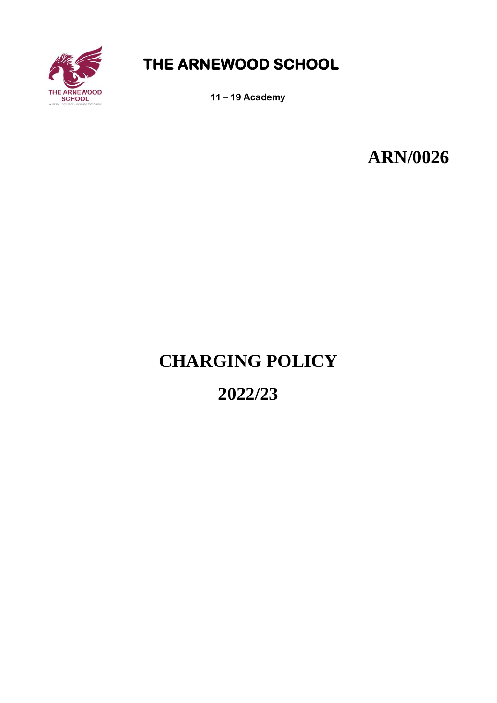

## **THE ARNEWOOD SCHOOL**

**11 – 19 Academy**

**ARN/0026**

# **CHARGING POLICY**

## **2022/23**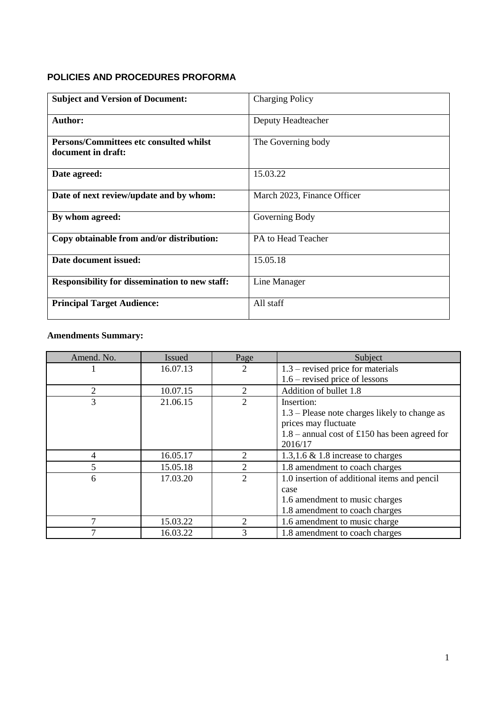### **POLICIES AND PROCEDURES PROFORMA**

| <b>Subject and Version of Document:</b>                       | <b>Charging Policy</b>      |
|---------------------------------------------------------------|-----------------------------|
| <b>Author:</b>                                                | Deputy Headteacher          |
| Persons/Committees etc consulted whilst<br>document in draft: | The Governing body          |
| Date agreed:                                                  | 15.03.22                    |
| Date of next review/update and by whom:                       | March 2023, Finance Officer |
| By whom agreed:                                               | Governing Body              |
| Copy obtainable from and/or distribution:                     | PA to Head Teacher          |
| Date document issued:                                         | 15.05.18                    |
| <b>Responsibility for dissemination to new staff:</b>         | Line Manager                |
| <b>Principal Target Audience:</b>                             | All staff                   |

### **Amendments Summary:**

| Amend. No. | Issued   | Page           | Subject                                         |  |
|------------|----------|----------------|-------------------------------------------------|--|
|            | 16.07.13 | 2              | 1.3 – revised price for materials               |  |
|            |          |                | $1.6$ – revised price of lessons                |  |
| 2          | 10.07.15 | $\overline{2}$ | Addition of bullet 1.8                          |  |
| 3          | 21.06.15 | 2              | Insertion:                                      |  |
|            |          |                | $1.3$ – Please note charges likely to change as |  |
|            |          |                | prices may fluctuate                            |  |
|            |          |                | $1.8$ – annual cost of £150 has been agreed for |  |
|            |          |                | 2016/17                                         |  |
| 4          | 16.05.17 | 2              | 1.3,1.6 $\&$ 1.8 increase to charges            |  |
| 5          | 15.05.18 | 2              | 1.8 amendment to coach charges                  |  |
| 6          | 17.03.20 | 2              | 1.0 insertion of additional items and pencil    |  |
|            |          |                | case                                            |  |
|            |          |                | 1.6 amendment to music charges                  |  |
|            |          |                | 1.8 amendment to coach charges                  |  |
| 7          | 15.03.22 | 2              | 1.6 amendment to music charge                   |  |
| 7          | 16.03.22 | 3              | 1.8 amendment to coach charges                  |  |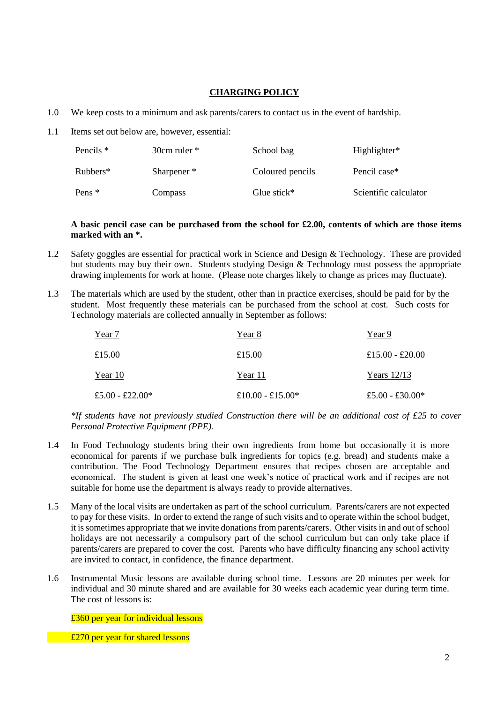#### **CHARGING POLICY**

- 1.0 We keep costs to a minimum and ask parents/carers to contact us in the event of hardship.
- 1.1 Items set out below are, however, essential:

| Pencils *  | $30cm$ ruler $*$       | School bag       | Highlighter*          |
|------------|------------------------|------------------|-----------------------|
| $Rubbers*$ | Sharpener <sup>*</sup> | Coloured pencils | Pencil case*          |
| Pens $*$   | <b>Compass</b>         | Glue stick $*$   | Scientific calculator |

#### **A basic pencil case can be purchased from the school for £2.00, contents of which are those items marked with an \*.**

- 1.2 Safety goggles are essential for practical work in Science and Design & Technology. These are provided but students may buy their own. Students studying Design & Technology must possess the appropriate drawing implements for work at home. (Please note charges likely to change as prices may fluctuate).
- 1.3 The materials which are used by the student, other than in practice exercises, should be paid for by the student. Most frequently these materials can be purchased from the school at cost. Such costs for Technology materials are collected annually in September as follows:

| Year 7          | Year 8           | Year 9          |
|-----------------|------------------|-----------------|
| £15.00          | £15.00           | £15.00 - £20.00 |
| Year 10         | Year 11          | Years $12/13$   |
| £5.00 - £22.00* | £10.00 - £15.00* | £5.00 - £30.00* |

*\*If students have not previously studied Construction there will be an additional cost of £25 to cover Personal Protective Equipment (PPE).*

- 1.4 In Food Technology students bring their own ingredients from home but occasionally it is more economical for parents if we purchase bulk ingredients for topics (e.g. bread) and students make a contribution. The Food Technology Department ensures that recipes chosen are acceptable and economical. The student is given at least one week's notice of practical work and if recipes are not suitable for home use the department is always ready to provide alternatives.
- 1.5 Many of the local visits are undertaken as part of the school curriculum. Parents/carers are not expected to pay for these visits. In order to extend the range of such visits and to operate within the school budget, it is sometimes appropriate that we invite donations from parents/carers. Other visits in and out of school holidays are not necessarily a compulsory part of the school curriculum but can only take place if parents/carers are prepared to cover the cost. Parents who have difficulty financing any school activity are invited to contact, in confidence, the finance department.
- 1.6 Instrumental Music lessons are available during school time. Lessons are 20 minutes per week for individual and 30 minute shared and are available for 30 weeks each academic year during term time. The cost of lessons is:

£360 per year for individual lessons

**£270 per year for shared lessons**